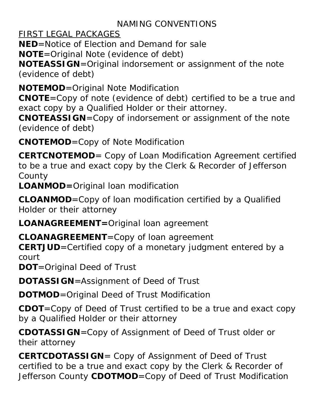#### NAMING CONVENTIONS

FIRST LEGAL PACKAGES

**NED**=Notice of Election and Demand for sale

**NOTE**=Original Note (evidence of debt)

**NOTEASSIGN**=Original indorsement or assignment of the note (evidence of debt)

**NOTEMOD**=Original Note Modification

**CNOTE**=Copy of note (evidence of debt) certified to be a true and exact copy by a Qualified Holder or their attorney.

**CNOTEASSIGN**=Copy of indorsement or assignment of the note (evidence of debt)

**CNOTEMOD**=Copy of Note Modification

**CERTCNOTEMOD**= Copy of Loan Modification Agreement certified to be a true and exact copy by the Clerk & Recorder of Jefferson County

**LOANMOD=**Original loan modification

**CLOANMOD**=Copy of loan modification certified by a Qualified Holder or their attorney

**LOANAGREEMENT=**Original loan agreement

**CLOANAGREEMENT**=Copy of loan agreement

**CERTJUD**=Certified copy of a monetary judgment entered by a court

**DOT**=Original Deed of Trust

**DOTASSIGN**=Assignment of Deed of Trust

**DOTMOD**=Original Deed of Trust Modification

**CDOT**=Copy of Deed of Trust certified to be a true and exact copy by a Qualified Holder or their attorney

**CDOTASSIGN**=Copy of Assignment of Deed of Trust older or their attorney

**CERTCDOTASSIGN**= Copy of Assignment of Deed of Trust certified to be a true and exact copy by the Clerk & Recorder of Jefferson County **CDOTMOD**=Copy of Deed of Trust Modification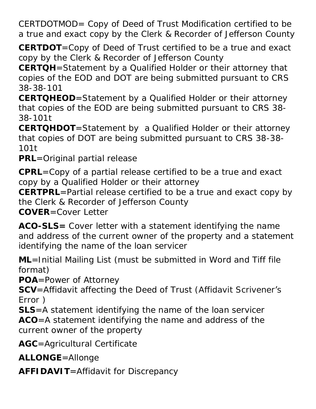CERTDOTMOD= Copy of Deed of Trust Modification certified to be a true and exact copy by the Clerk & Recorder of Jefferson County

**CERTDOT**=Copy of Deed of Trust certified to be a true and exact copy by the Clerk & Recorder of Jefferson County

**CERTQH**=Statement by a Qualified Holder or their attorney that copies of the EOD and DOT are being submitted pursuant to CRS 38-38-101

**CERTQHEOD**=Statement by a Qualified Holder or their attorney that copies of the EOD are being submitted pursuant to CRS 38- 38-101t

**CERTQHDOT**=Statement by a Qualified Holder or their attorney that copies of DOT are being submitted pursuant to CRS 38-38- 101t

**PRL**=Original partial release

**CPRL**=Copy of a partial release certified to be a true and exact copy by a Qualified Holder or their attorney

**CERTPRL**=Partial release certified to be a true and exact copy by the Clerk & Recorder of Jefferson County

**COVER**=Cover Letter

**ACO-SLS=** Cover letter with a statement identifying the name and address of the current owner of the property and a statement identifying the name of the loan servicer

**ML**=Initial Mailing List (must be submitted in Word and Tiff file format)

**POA**=Power of Attorney

**SCV**=Affidavit affecting the Deed of Trust (Affidavit Scrivener's Error )

**SLS**=A statement identifying the name of the loan servicer **ACO**=A statement identifying the name and address of the current owner of the property

**AGC**=Agricultural Certificate

**ALLONGE**=Allonge

**AFFIDAVIT**=Affidavit for Discrepancy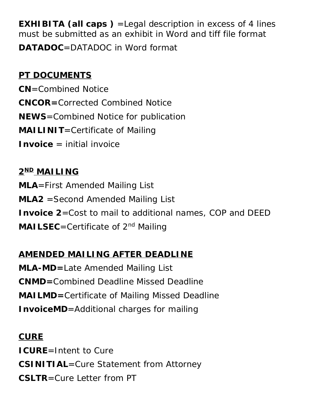**EXHIBITA (all caps)** = Legal description in excess of 4 lines must be submitted as an exhibit in Word and tiff file format **DATADOC**=DATADOC in Word format

#### **PT DOCUMENTS**

**CN**=Combined Notice **CNCOR=**Corrected Combined Notice **NEWS**=Combined Notice for publication **MAILINIT**=Certificate of Mailing **Invoice** = initial invoice

# **2ND MAILING MLA**=First Amended Mailing List **MLA2** =Second Amended Mailing List **Invoice 2**=Cost to mail to additional names, COP and DEED **MAILSEC**=Certificate of 2<sup>nd</sup> Mailing

## **AMENDED MAILING AFTER DEADLINE**

**MLA-MD=**Late Amended Mailing List **CNMD=**Combined Deadline Missed Deadline **MAILMD=**Certificate of Mailing Missed Deadline **InvoiceMD**=Additional charges for mailing

**CURE ICURE**=Intent to Cure **CSINITIAL**=Cure Statement from Attorney **CSLTR**=Cure Letter from PT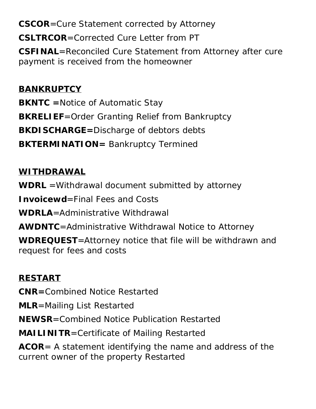**CSCOR**=Cure Statement corrected by Attorney

**CSLTRCOR**=Corrected Cure Letter from PT

**CSFINAL**=Reconciled Cure Statement from Attorney after cure payment is received from the homeowner

#### **BANKRUPTCY**

**BKNTC =**Notice of Automatic Stay **BKRELIEF**=Order Granting Relief from Bankruptcy **BKDISCHARGE=Discharge of debtors debts BKTERMINATION=** Bankruptcy Termined

#### **WITHDRAWAL**

**WDRL** =Withdrawal document submitted by attorney

**Invoicewd**=Final Fees and Costs

**WDRLA**=Administrative Withdrawal

**AWDNTC**=Administrative Withdrawal Notice to Attorney

**WDREQUEST**=Attorney notice that file will be withdrawn and request for fees and costs

## **RESTART**

**CNR=**Combined Notice Restarted

**MLR**=Mailing List Restarted

**NEWSR**=Combined Notice Publication Restarted

**MAILINITR**=Certificate of Mailing Restarted

**ACOR**= A statement identifying the name and address of the current owner of the property Restarted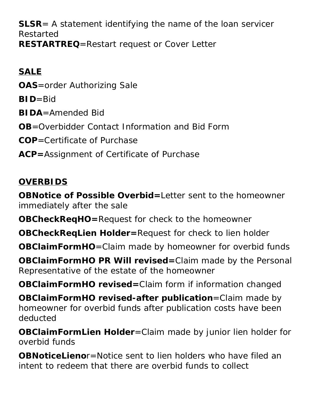**SLSR**= A statement identifying the name of the loan servicer Restarted **RESTARTREQ**=Restart request or Cover Letter

# **SALE**

**OAS**=order Authorizing Sale

**BID**=Bid

**BIDA**=Amended Bid

**OB**=Overbidder Contact Information and Bid Form

**COP**=Certificate of Purchase

**ACP=**Assignment of Certificate of Purchase

## **OVERBIDS**

**OBNotice of Possible Overbid=**Letter sent to the homeowner immediately after the sale

**OBCheckReqHO=**Request for check to the homeowner

**OBCheckReqLien Holder=**Request for check to lien holder

**OBClaimFormHO**=Claim made by homeowner for overbid funds

**OBClaimFormHO PR Will revised=**Claim made by the Personal Representative of the estate of the homeowner

**OBClaimFormHO revised=**Claim form if information changed

**OBClaimFormHO revised-after publication**=Claim made by homeowner for overbid funds after publication costs have been deducted

**OBClaimFormLien Holder**=Claim made by junior lien holder for overbid funds

**OBNoticeLieno**r=Notice sent to lien holders who have filed an intent to redeem that there are overbid funds to collect